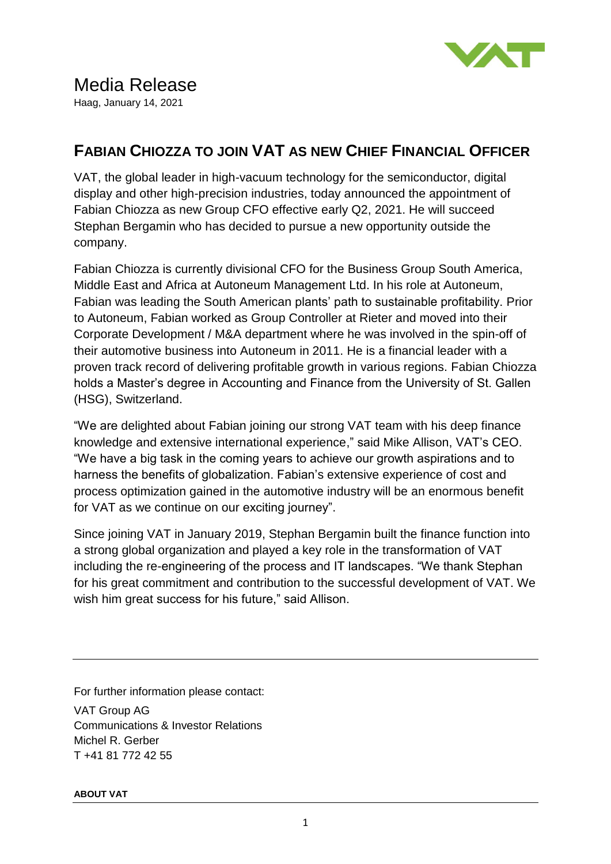

## **FABIAN CHIOZZA TO JOIN VAT AS NEW CHIEF FINANCIAL OFFICER**

VAT, the global leader in high-vacuum technology for the semiconductor, digital display and other high-precision industries, today announced the appointment of Fabian Chiozza as new Group CFO effective early Q2, 2021. He will succeed Stephan Bergamin who has decided to pursue a new opportunity outside the company.

Fabian Chiozza is currently divisional CFO for the Business Group South America, Middle East and Africa at Autoneum Management Ltd. In his role at Autoneum, Fabian was leading the South American plants' path to sustainable profitability. Prior to Autoneum, Fabian worked as Group Controller at Rieter and moved into their Corporate Development / M&A department where he was involved in the spin-off of their automotive business into Autoneum in 2011. He is a financial leader with a proven track record of delivering profitable growth in various regions. Fabian Chiozza holds a Master's degree in Accounting and Finance from the University of St. Gallen (HSG), Switzerland.

"We are delighted about Fabian joining our strong VAT team with his deep finance knowledge and extensive international experience," said Mike Allison, VAT's CEO. "We have a big task in the coming years to achieve our growth aspirations and to harness the benefits of globalization. Fabian's extensive experience of cost and process optimization gained in the automotive industry will be an enormous benefit for VAT as we continue on our exciting journey".

Since joining VAT in January 2019, Stephan Bergamin built the finance function into a strong global organization and played a key role in the transformation of VAT including the re-engineering of the process and IT landscapes. "We thank Stephan for his great commitment and contribution to the successful development of VAT. We wish him great success for his future," said Allison.

For further information please contact:

VAT Group AG Communications & Investor Relations Michel R. Gerber T +41 81 772 42 55

## **ABOUT VAT**